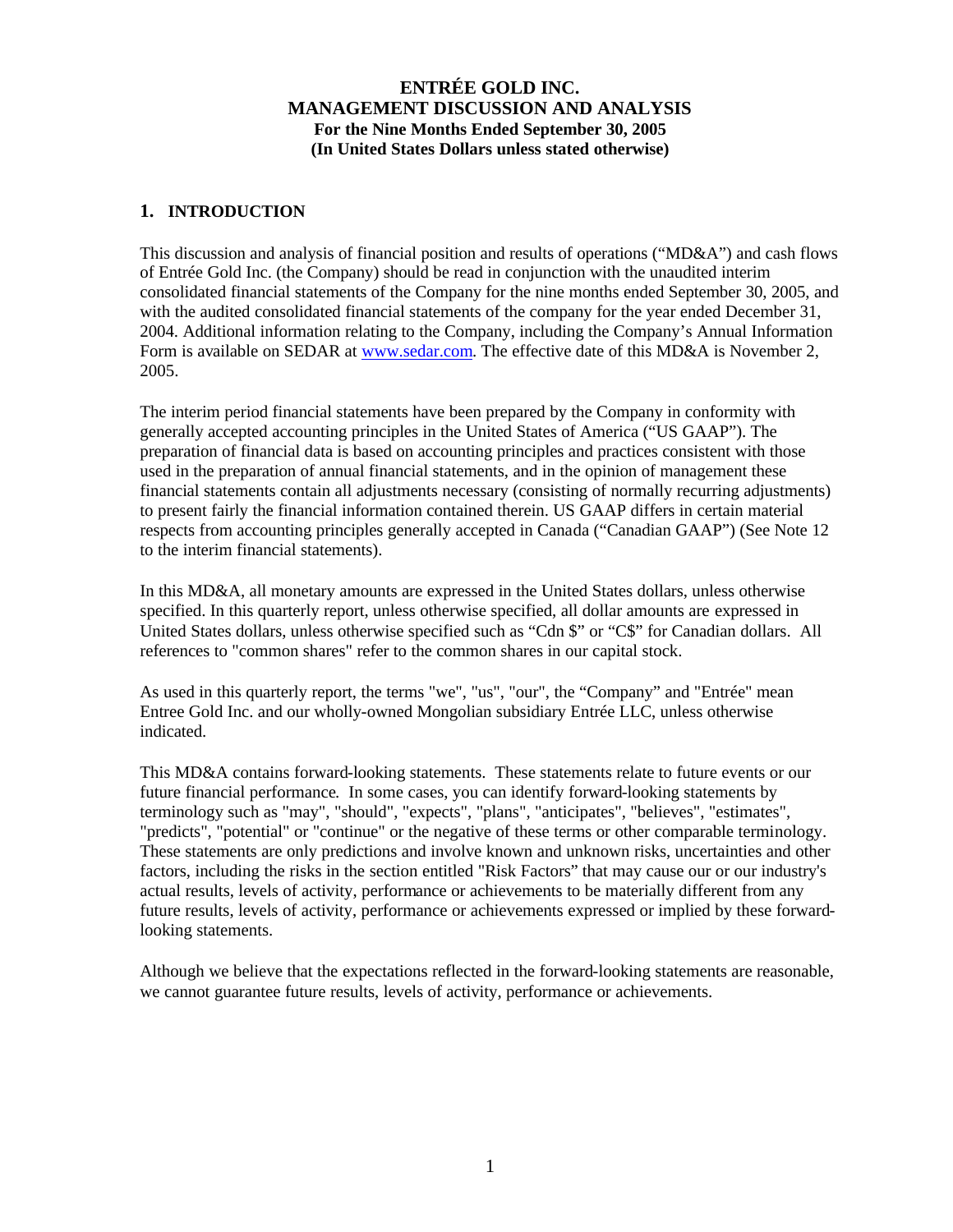### **1. INTRODUCTION**

This discussion and analysis of financial position and results of operations ("MD&A") and cash flows of Entrée Gold Inc. (the Company) should be read in conjunction with the unaudited interim consolidated financial statements of the Company for the nine months ended September 30, 2005, and with the audited consolidated financial statements of the company for the year ended December 31, 2004. Additional information relating to the Company, including the Company's Annual Information Form is available on SEDAR at www.sedar.com. The effective date of this MD&A is November 2, 2005.

The interim period financial statements have been prepared by the Company in conformity with generally accepted accounting principles in the United States of America ("US GAAP"). The preparation of financial data is based on accounting principles and practices consistent with those used in the preparation of annual financial statements, and in the opinion of management these financial statements contain all adjustments necessary (consisting of normally recurring adjustments) to present fairly the financial information contained therein. US GAAP differs in certain material respects from accounting principles generally accepted in Canada ("Canadian GAAP") (See Note 12 to the interim financial statements).

In this MD&A, all monetary amounts are expressed in the United States dollars, unless otherwise specified. In this quarterly report, unless otherwise specified, all dollar amounts are expressed in United States dollars, unless otherwise specified such as "Cdn \$" or "C\$" for Canadian dollars. All references to "common shares" refer to the common shares in our capital stock.

As used in this quarterly report, the terms "we", "us", "our", the "Company" and "Entrée" mean Entree Gold Inc. and our wholly-owned Mongolian subsidiary Entrée LLC, unless otherwise indicated.

This MD&A contains forward-looking statements. These statements relate to future events or our future financial performance. In some cases, you can identify forward-looking statements by terminology such as "may", "should", "expects", "plans", "anticipates", "believes", "estimates", "predicts", "potential" or "continue" or the negative of these terms or other comparable terminology. These statements are only predictions and involve known and unknown risks, uncertainties and other factors, including the risks in the section entitled "Risk Factors" that may cause our or our industry's actual results, levels of activity, performance or achievements to be materially different from any future results, levels of activity, performance or achievements expressed or implied by these forwardlooking statements.

Although we believe that the expectations reflected in the forward-looking statements are reasonable, we cannot guarantee future results, levels of activity, performance or achievements.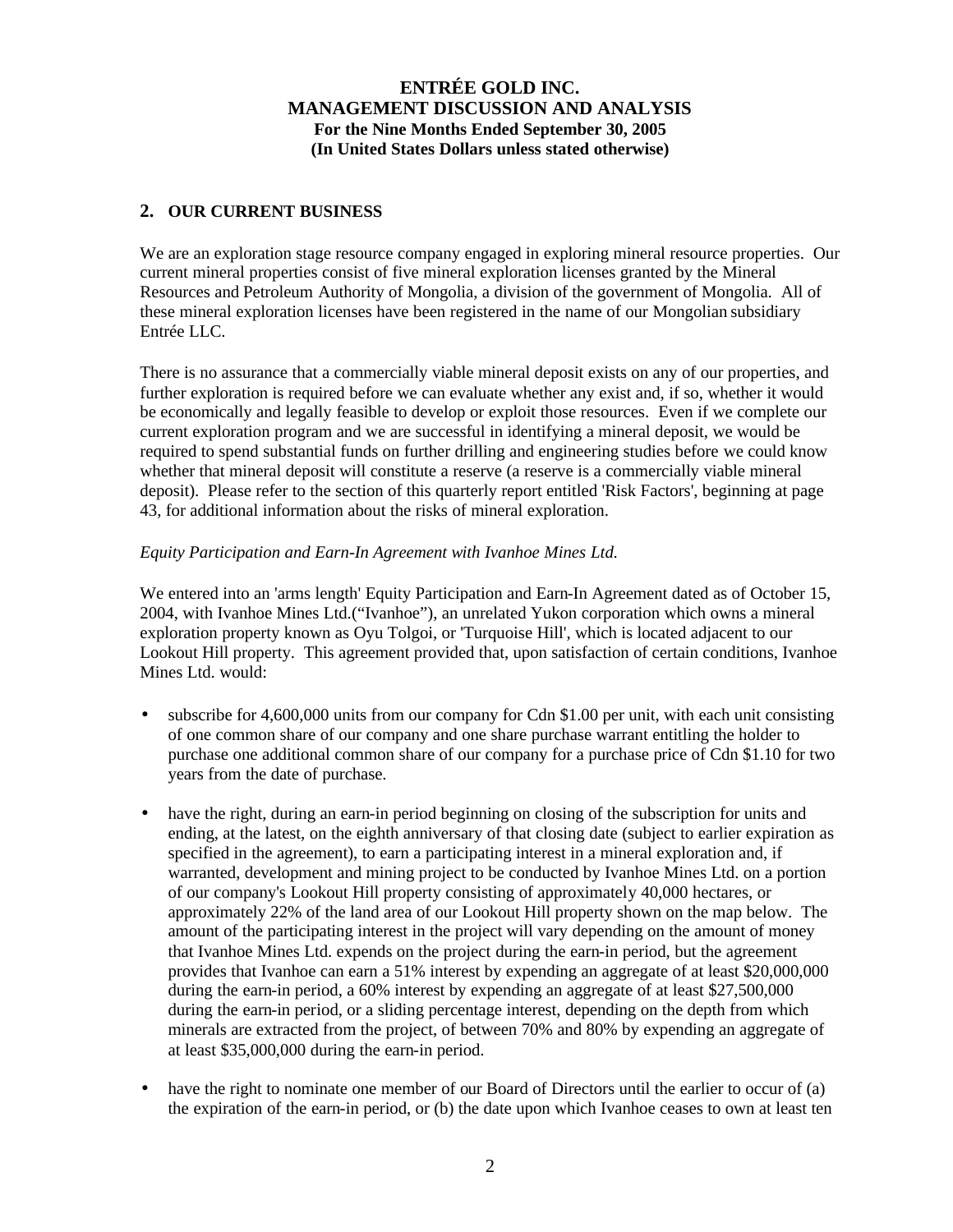## **2. OUR CURRENT BUSINESS**

We are an exploration stage resource company engaged in exploring mineral resource properties. Our current mineral properties consist of five mineral exploration licenses granted by the Mineral Resources and Petroleum Authority of Mongolia, a division of the government of Mongolia. All of these mineral exploration licenses have been registered in the name of our Mongolian subsidiary Entrée LLC.

There is no assurance that a commercially viable mineral deposit exists on any of our properties, and further exploration is required before we can evaluate whether any exist and, if so, whether it would be economically and legally feasible to develop or exploit those resources. Even if we complete our current exploration program and we are successful in identifying a mineral deposit, we would be required to spend substantial funds on further drilling and engineering studies before we could know whether that mineral deposit will constitute a reserve (a reserve is a commercially viable mineral deposit). Please refer to the section of this quarterly report entitled 'Risk Factors', beginning at page 43, for additional information about the risks of mineral exploration.

## *Equity Participation and Earn-In Agreement with Ivanhoe Mines Ltd.*

We entered into an 'arms length' Equity Participation and Earn-In Agreement dated as of October 15, 2004, with Ivanhoe Mines Ltd.("Ivanhoe"), an unrelated Yukon corporation which owns a mineral exploration property known as Oyu Tolgoi, or 'Turquoise Hill', which is located adjacent to our Lookout Hill property. This agreement provided that, upon satisfaction of certain conditions, Ivanhoe Mines Ltd. would:

- subscribe for 4,600,000 units from our company for Cdn \$1.00 per unit, with each unit consisting of one common share of our company and one share purchase warrant entitling the holder to purchase one additional common share of our company for a purchase price of Cdn \$1.10 for two years from the date of purchase.
- have the right, during an earn-in period beginning on closing of the subscription for units and ending, at the latest, on the eighth anniversary of that closing date (subject to earlier expiration as specified in the agreement), to earn a participating interest in a mineral exploration and, if warranted, development and mining project to be conducted by Ivanhoe Mines Ltd. on a portion of our company's Lookout Hill property consisting of approximately 40,000 hectares, or approximately 22% of the land area of our Lookout Hill property shown on the map below. The amount of the participating interest in the project will vary depending on the amount of money that Ivanhoe Mines Ltd. expends on the project during the earn-in period, but the agreement provides that Ivanhoe can earn a 51% interest by expending an aggregate of at least \$20,000,000 during the earn-in period, a 60% interest by expending an aggregate of at least \$27,500,000 during the earn-in period, or a sliding percentage interest, depending on the depth from which minerals are extracted from the project, of between 70% and 80% by expending an aggregate of at least \$35,000,000 during the earn-in period.
- have the right to nominate one member of our Board of Directors until the earlier to occur of (a) the expiration of the earn-in period, or (b) the date upon which Ivanhoe ceases to own at least ten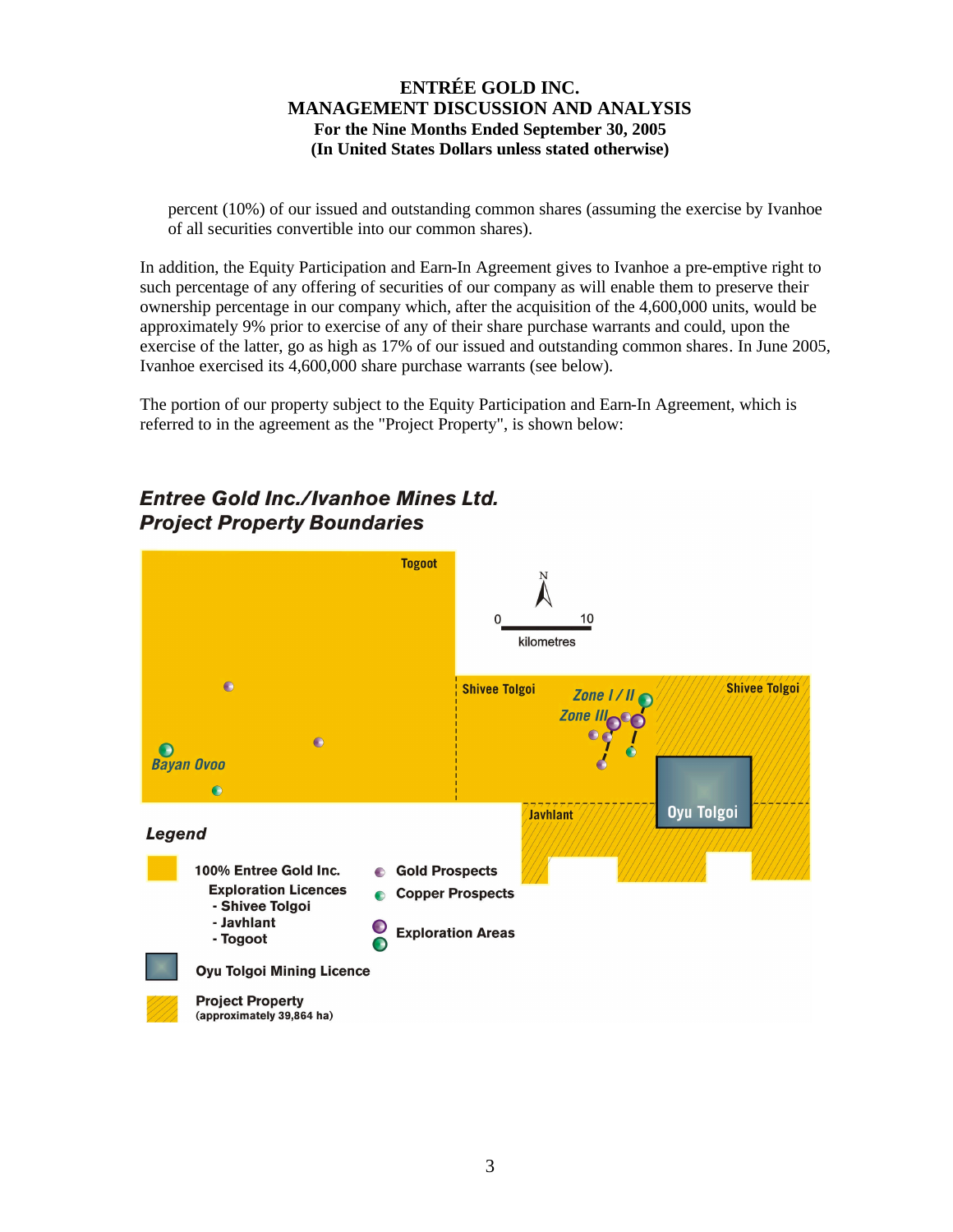percent (10%) of our issued and outstanding common shares (assuming the exercise by Ivanhoe of all securities convertible into our common shares).

In addition, the Equity Participation and Earn-In Agreement gives to Ivanhoe a pre-emptive right to such percentage of any offering of securities of our company as will enable them to preserve their ownership percentage in our company which, after the acquisition of the 4,600,000 units, would be approximately 9% prior to exercise of any of their share purchase warrants and could, upon the exercise of the latter, go as high as 17% of our issued and outstanding common shares. In June 2005, Ivanhoe exercised its 4,600,000 share purchase warrants (see below).

The portion of our property subject to the Equity Participation and Earn-In Agreement, which is referred to in the agreement as the "Project Property", is shown below:

# **Entree Gold Inc./Ivanhoe Mines Ltd. Project Property Boundaries**

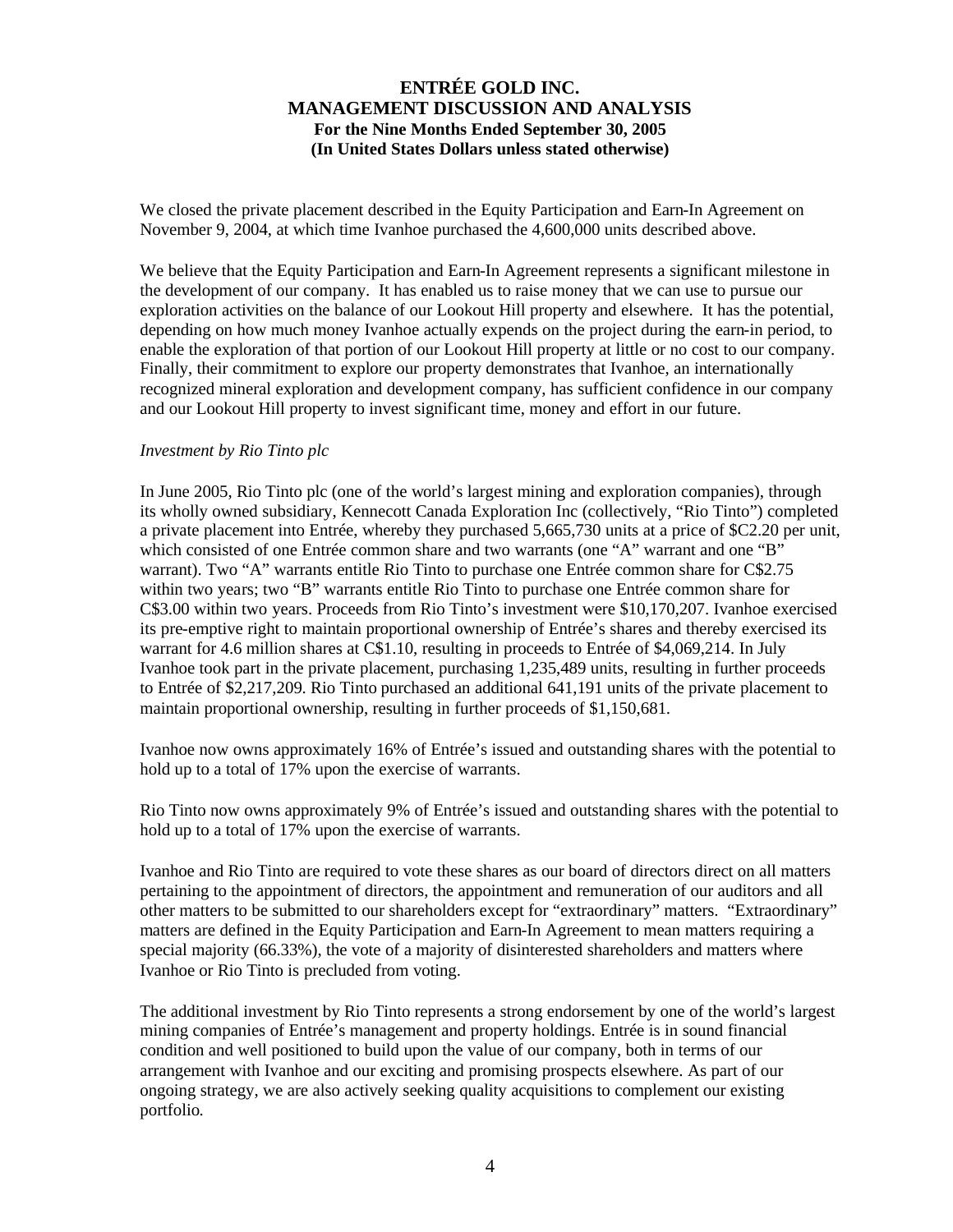We closed the private placement described in the Equity Participation and Earn-In Agreement on November 9, 2004, at which time Ivanhoe purchased the 4,600,000 units described above.

We believe that the Equity Participation and Earn-In Agreement represents a significant milestone in the development of our company. It has enabled us to raise money that we can use to pursue our exploration activities on the balance of our Lookout Hill property and elsewhere. It has the potential, depending on how much money Ivanhoe actually expends on the project during the earn-in period, to enable the exploration of that portion of our Lookout Hill property at little or no cost to our company. Finally, their commitment to explore our property demonstrates that Ivanhoe, an internationally recognized mineral exploration and development company, has sufficient confidence in our company and our Lookout Hill property to invest significant time, money and effort in our future.

#### *Investment by Rio Tinto plc*

In June 2005, Rio Tinto plc (one of the world's largest mining and exploration companies), through its wholly owned subsidiary, Kennecott Canada Exploration Inc (collectively, "Rio Tinto") completed a private placement into Entrée, whereby they purchased 5,665,730 units at a price of \$C2.20 per unit, which consisted of one Entrée common share and two warrants (one "A" warrant and one "B" warrant). Two "A" warrants entitle Rio Tinto to purchase one Entrée common share for C\$2.75 within two years; two "B" warrants entitle Rio Tinto to purchase one Entrée common share for C\$3.00 within two years. Proceeds from Rio Tinto's investment were \$10,170,207. Ivanhoe exercised its pre-emptive right to maintain proportional ownership of Entrée's shares and thereby exercised its warrant for 4.6 million shares at C\$1.10, resulting in proceeds to Entrée of \$4,069,214. In July Ivanhoe took part in the private placement, purchasing 1,235,489 units, resulting in further proceeds to Entrée of \$2,217,209. Rio Tinto purchased an additional 641,191 units of the private placement to maintain proportional ownership, resulting in further proceeds of \$1,150,681.

Ivanhoe now owns approximately 16% of Entrée's issued and outstanding shares with the potential to hold up to a total of 17% upon the exercise of warrants.

Rio Tinto now owns approximately 9% of Entrée's issued and outstanding shares with the potential to hold up to a total of 17% upon the exercise of warrants.

Ivanhoe and Rio Tinto are required to vote these shares as our board of directors direct on all matters pertaining to the appointment of directors, the appointment and remuneration of our auditors and all other matters to be submitted to our shareholders except for "extraordinary" matters. "Extraordinary" matters are defined in the Equity Participation and Earn-In Agreement to mean matters requiring a special majority (66.33%), the vote of a majority of disinterested shareholders and matters where Ivanhoe or Rio Tinto is precluded from voting.

The additional investment by Rio Tinto represents a strong endorsement by one of the world's largest mining companies of Entrée's management and property holdings. Entrée is in sound financial condition and well positioned to build upon the value of our company, both in terms of our arrangement with Ivanhoe and our exciting and promising prospects elsewhere. As part of our ongoing strategy, we are also actively seeking quality acquisitions to complement our existing portfolio.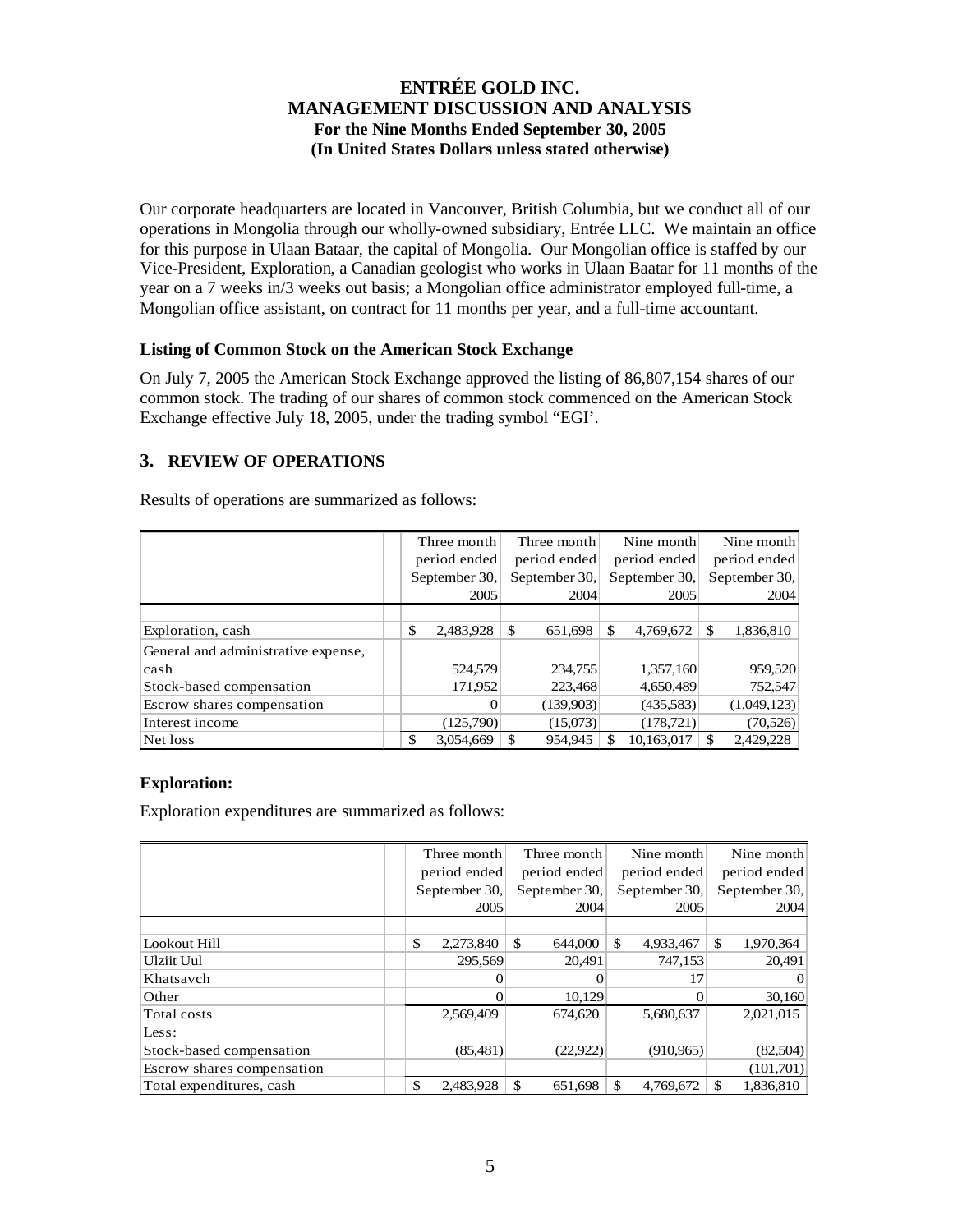Our corporate headquarters are located in Vancouver, British Columbia, but we conduct all of our operations in Mongolia through our wholly-owned subsidiary, Entrée LLC. We maintain an office for this purpose in Ulaan Bataar, the capital of Mongolia. Our Mongolian office is staffed by our Vice-President, Exploration, a Canadian geologist who works in Ulaan Baatar for 11 months of the year on a 7 weeks in/3 weeks out basis; a Mongolian office administrator employed full-time, a Mongolian office assistant, on contract for 11 months per year, and a full-time accountant.

### **Listing of Common Stock on the American Stock Exchange**

On July 7, 2005 the American Stock Exchange approved the listing of 86,807,154 shares of our common stock. The trading of our shares of common stock commenced on the American Stock Exchange effective July 18, 2005, under the trading symbol "EGI'.

## **3. REVIEW OF OPERATIONS**

Results of operations are summarized as follows:

|                                     | Three month     | Three month   | Nine month       | Nine month      |
|-------------------------------------|-----------------|---------------|------------------|-----------------|
|                                     | period ended    | period ended  | period ended     | period ended    |
|                                     | September 30,   | September 30, | September 30,    | September 30,   |
|                                     | 2005            | 2004          | 2005             | 2004            |
|                                     |                 |               |                  |                 |
| Exploration, cash                   | \$<br>2,483,928 | \$<br>651,698 | \$<br>4.769.672  | \$<br>1,836,810 |
| General and administrative expense, |                 |               |                  |                 |
| cash                                | 524,579         | 234,755       | 1,357,160        | 959,520         |
| Stock-based compensation            | 171,952         | 223,468       | 4,650,489        | 752,547         |
| Escrow shares compensation          | $\Omega$        | (139,903)     | (435,583)        | (1,049,123)     |
| Interest income                     | (125,790)       | (15,073)      | (178, 721)       | (70, 526)       |
| Net loss                            | £.<br>3.054.669 | \$<br>954.945 | 10,163,017<br>\$ | 2,429,228<br>\$ |

### **Exploration:**

Exploration expenditures are summarized as follows:

|                            | Three month     | Three month   | Nine month      | Nine month       |
|----------------------------|-----------------|---------------|-----------------|------------------|
|                            | period ended    | period ended  | period ended    | period ended     |
|                            | September 30,   | September 30, | September 30,   | September 30,    |
|                            | 2005            | 2004          | 2005            | 2004             |
|                            |                 |               |                 |                  |
| Lookout Hill               | \$<br>2,273,840 | \$<br>644,000 | \$<br>4,933,467 | \$.<br>1,970,364 |
| Ulziit Uul                 | 295.569         | 20,491        | 747,153         | 20,491           |
| Khatsavch                  | 0               |               | 17              | $\Omega$         |
| Other                      | 0               | 10,129        | 0               | 30,160           |
| Total costs                | 2,569,409       | 674.620       | 5,680,637       | 2,021,015        |
| Less:                      |                 |               |                 |                  |
| Stock-based compensation   | (85,481)        | (22, 922)     | (910, 965)      | (82,504)         |
| Escrow shares compensation |                 |               |                 | (101,701)        |
| Total expenditures, cash   | \$<br>2,483,928 | \$<br>651.698 | \$<br>4,769,672 | 1,836,810<br>\$  |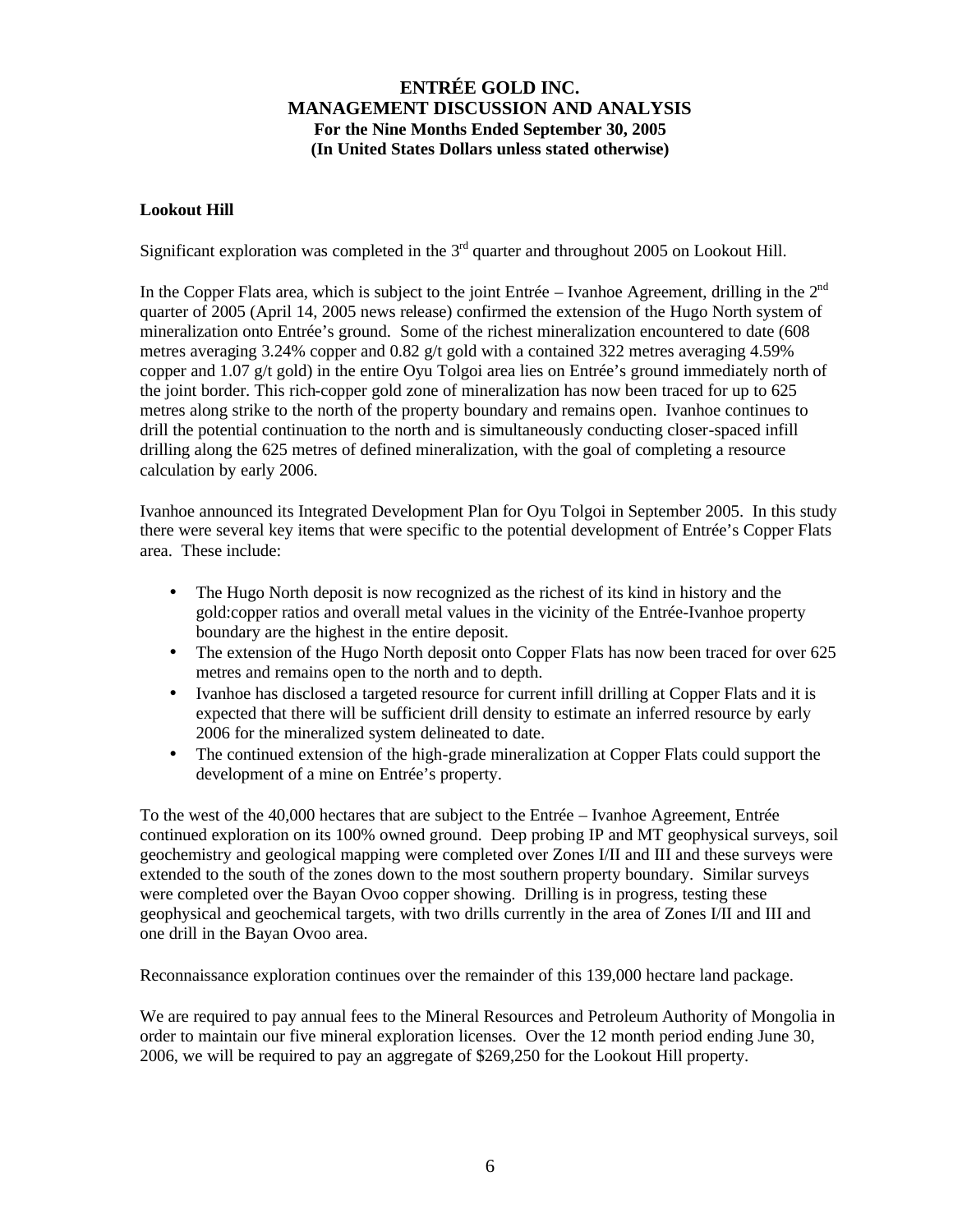### **Lookout Hill**

Significant exploration was completed in the  $3<sup>rd</sup>$  quarter and throughout 2005 on Lookout Hill.

In the Copper Flats area, which is subject to the joint Entrée – Ivanhoe Agreement, drilling in the  $2<sup>nd</sup>$ quarter of 2005 (April 14, 2005 news release) confirmed the extension of the Hugo North system of mineralization onto Entrée's ground. Some of the richest mineralization encountered to date (608 metres averaging 3.24% copper and 0.82 g/t gold with a contained 322 metres averaging 4.59% copper and 1.07 g/t gold) in the entire Oyu Tolgoi area lies on Entrée's ground immediately north of the joint border. This rich-copper gold zone of mineralization has now been traced for up to 625 metres along strike to the north of the property boundary and remains open. Ivanhoe continues to drill the potential continuation to the north and is simultaneously conducting closer-spaced infill drilling along the 625 metres of defined mineralization, with the goal of completing a resource calculation by early 2006.

Ivanhoe announced its Integrated Development Plan for Oyu Tolgoi in September 2005. In this study there were several key items that were specific to the potential development of Entrée's Copper Flats area. These include:

- The Hugo North deposit is now recognized as the richest of its kind in history and the gold:copper ratios and overall metal values in the vicinity of the Entrée-Ivanhoe property boundary are the highest in the entire deposit.
- The extension of the Hugo North deposit onto Copper Flats has now been traced for over 625 metres and remains open to the north and to depth.
- Ivanhoe has disclosed a targeted resource for current infill drilling at Copper Flats and it is expected that there will be sufficient drill density to estimate an inferred resource by early 2006 for the mineralized system delineated to date.
- The continued extension of the high-grade mineralization at Copper Flats could support the development of a mine on Entrée's property.

To the west of the 40,000 hectares that are subject to the Entrée – Ivanhoe Agreement, Entrée continued exploration on its 100% owned ground. Deep probing IP and MT geophysical surveys, soil geochemistry and geological mapping were completed over Zones I/II and III and these surveys were extended to the south of the zones down to the most southern property boundary. Similar surveys were completed over the Bayan Ovoo copper showing. Drilling is in progress, testing these geophysical and geochemical targets, with two drills currently in the area of Zones I/II and III and one drill in the Bayan Ovoo area.

Reconnaissance exploration continues over the remainder of this 139,000 hectare land package.

We are required to pay annual fees to the Mineral Resources and Petroleum Authority of Mongolia in order to maintain our five mineral exploration licenses. Over the 12 month period ending June 30, 2006, we will be required to pay an aggregate of \$269,250 for the Lookout Hill property.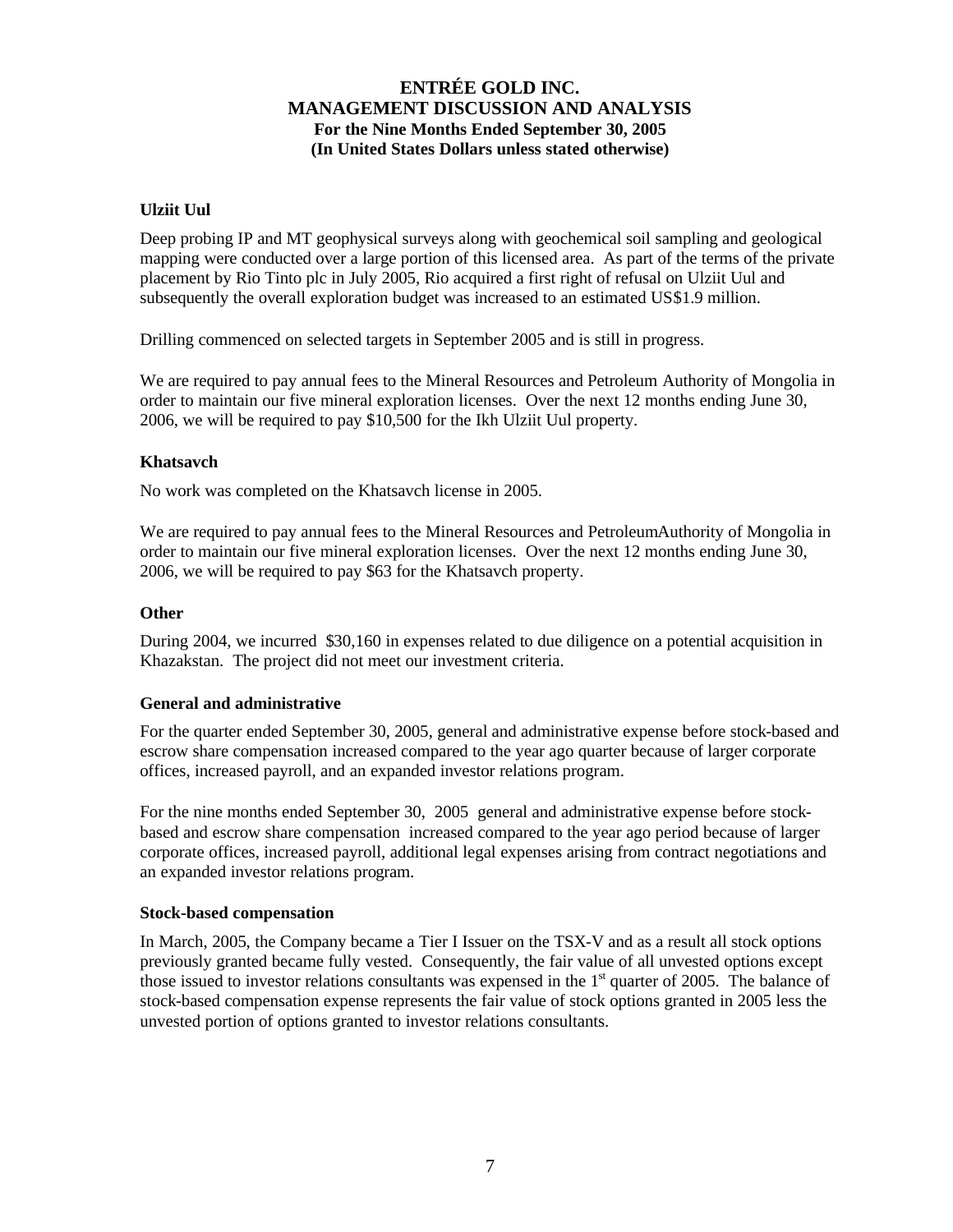### **Ulziit Uul**

Deep probing IP and MT geophysical surveys along with geochemical soil sampling and geological mapping were conducted over a large portion of this licensed area. As part of the terms of the private placement by Rio Tinto plc in July 2005, Rio acquired a first right of refusal on Ulziit Uul and subsequently the overall exploration budget was increased to an estimated US\$1.9 million.

Drilling commenced on selected targets in September 2005 and is still in progress.

We are required to pay annual fees to the Mineral Resources and Petroleum Authority of Mongolia in order to maintain our five mineral exploration licenses. Over the next 12 months ending June 30, 2006, we will be required to pay \$10,500 for the Ikh Ulziit Uul property.

#### **Khatsavch**

No work was completed on the Khatsavch license in 2005.

We are required to pay annual fees to the Mineral Resources and PetroleumAuthority of Mongolia in order to maintain our five mineral exploration licenses. Over the next 12 months ending June 30, 2006, we will be required to pay \$63 for the Khatsavch property.

#### **Other**

During 2004, we incurred \$30,160 in expenses related to due diligence on a potential acquisition in Khazakstan. The project did not meet our investment criteria.

#### **General and administrative**

For the quarter ended September 30, 2005, general and administrative expense before stock-based and escrow share compensation increased compared to the year ago quarter because of larger corporate offices, increased payroll, and an expanded investor relations program.

For the nine months ended September 30, 2005 general and administrative expense before stockbased and escrow share compensation increased compared to the year ago period because of larger corporate offices, increased payroll, additional legal expenses arising from contract negotiations and an expanded investor relations program.

#### **Stock-based compensation**

In March, 2005, the Company became a Tier I Issuer on the TSX-V and as a result all stock options previously granted became fully vested. Consequently, the fair value of all unvested options except those issued to investor relations consultants was expensed in the  $1<sup>st</sup>$  quarter of 2005. The balance of stock-based compensation expense represents the fair value of stock options granted in 2005 less the unvested portion of options granted to investor relations consultants.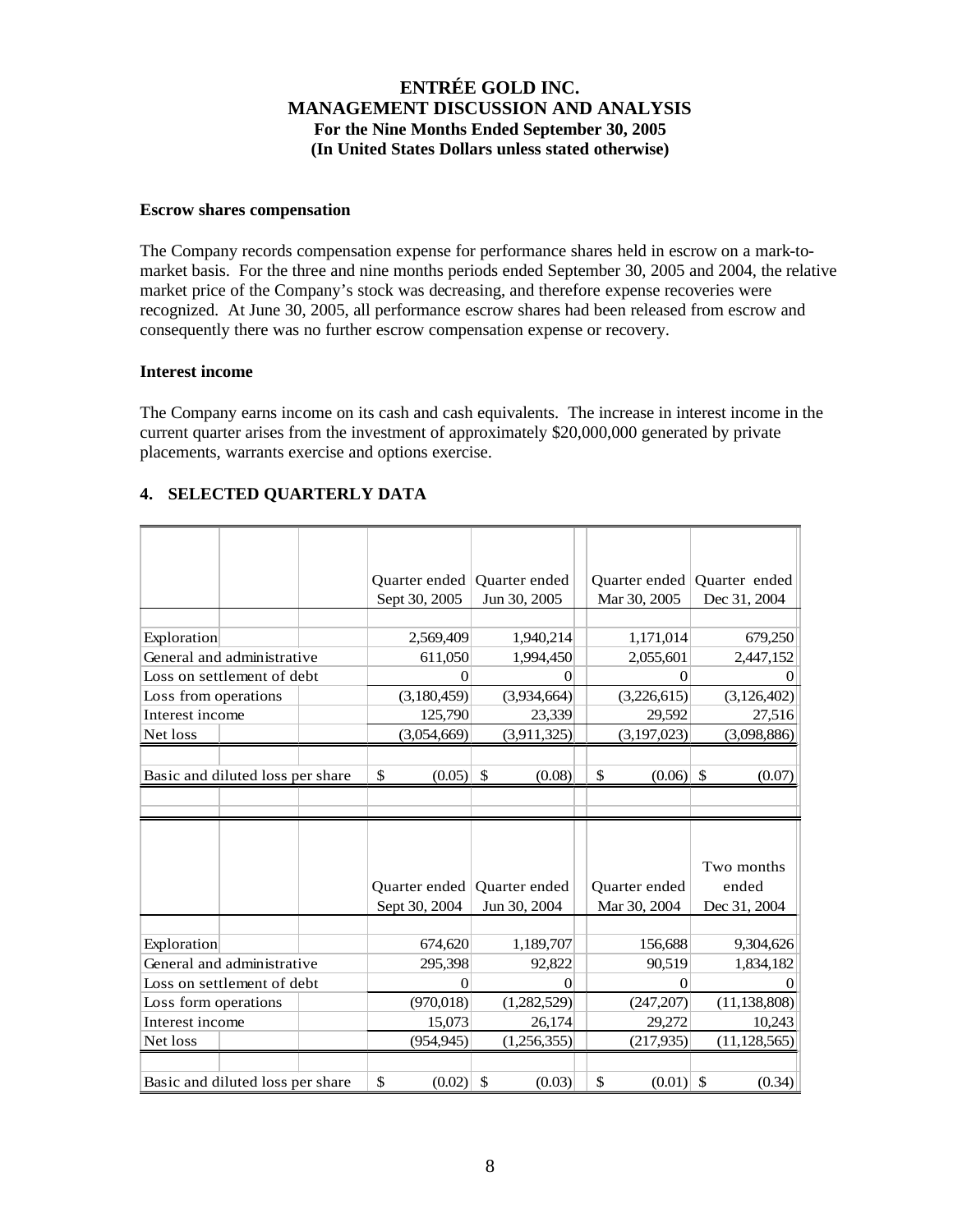#### **Escrow shares compensation**

The Company records compensation expense for performance shares held in escrow on a mark-tomarket basis. For the three and nine months periods ended September 30, 2005 and 2004, the relative market price of the Company's stock was decreasing, and therefore expense recoveries were recognized. At June 30, 2005, all performance escrow shares had been released from escrow and consequently there was no further escrow compensation expense or recovery.

### **Interest income**

The Company earns income on its cash and cash equivalents. The increase in interest income in the current quarter arises from the investment of approximately \$20,000,000 generated by private placements, warrants exercise and options exercise.

## **4. SELECTED QUARTERLY DATA**

|                                  |                            |              | Quarter ended | <b>Ouarter</b> ended | <b>Ouarter</b> ended | Quarter ended          |
|----------------------------------|----------------------------|--------------|---------------|----------------------|----------------------|------------------------|
|                                  |                            |              | Sept 30, 2005 | Jun 30, 2005         | Mar 30, 2005         | Dec 31, 2004           |
|                                  |                            |              |               |                      |                      |                        |
| Exploration                      |                            |              | 2,569,409     | 1,940,214            | 1,171,014            | 679,250                |
|                                  | General and administrative |              | 611,050       | 1,994,450            | 2,055,601            | 2,447,152              |
|                                  | Loss on settlement of debt |              | $\theta$      | $\theta$             | $\theta$             | $\mathbf{0}$           |
| Loss from operations             |                            |              | (3,180,459)   | (3,934,664)          | (3,226,615)          | (3,126,402)            |
|                                  |                            |              | 125,790       | 23,339               | 29,592               | 27,516                 |
| Interest income                  |                            |              |               |                      |                      |                        |
| Net loss                         |                            |              | (3,054,669)   | (3,911,325)          | (3,197,023)          | (3,098,886)            |
|                                  |                            |              |               |                      |                      |                        |
| Basic and diluted loss per share |                            | \$<br>(0.05) | \$<br>(0.08)  | \$<br>(0.06)         | \$<br>(0.07)         |                        |
|                                  |                            |              |               |                      |                      |                        |
|                                  |                            |              |               |                      |                      |                        |
|                                  |                            |              |               |                      |                      |                        |
|                                  |                            |              |               |                      |                      | Two months             |
|                                  |                            |              | Quarter ended | <b>Ouarter</b> ended | Quarter ended        | ended                  |
|                                  |                            |              | Sept 30, 2004 |                      |                      |                        |
|                                  |                            |              |               |                      |                      |                        |
|                                  |                            |              |               | Jun 30, 2004         | Mar 30, 2004         | Dec 31, 2004           |
|                                  |                            |              | 674,620       |                      | 156,688              |                        |
| Exploration                      | General and administrative |              | 295,398       | 1,189,707<br>92,822  | 90,519               | 9,304,626<br>1,834,182 |
|                                  | Loss on settlement of debt |              | $\theta$      | $\overline{0}$       | $\theta$             | $\mathbf{0}$           |
| Loss form operations             |                            |              | (970, 018)    | (1,282,529)          | (247, 207)           | (11, 138, 808)         |
| Interest income                  |                            |              | 15,073        | 26,174               | 29,272               | 10,243                 |
| Net loss                         |                            |              | (954, 945)    | (1,256,355)          | (217, 935)           | (11, 128, 565)         |
|                                  |                            |              |               |                      |                      |                        |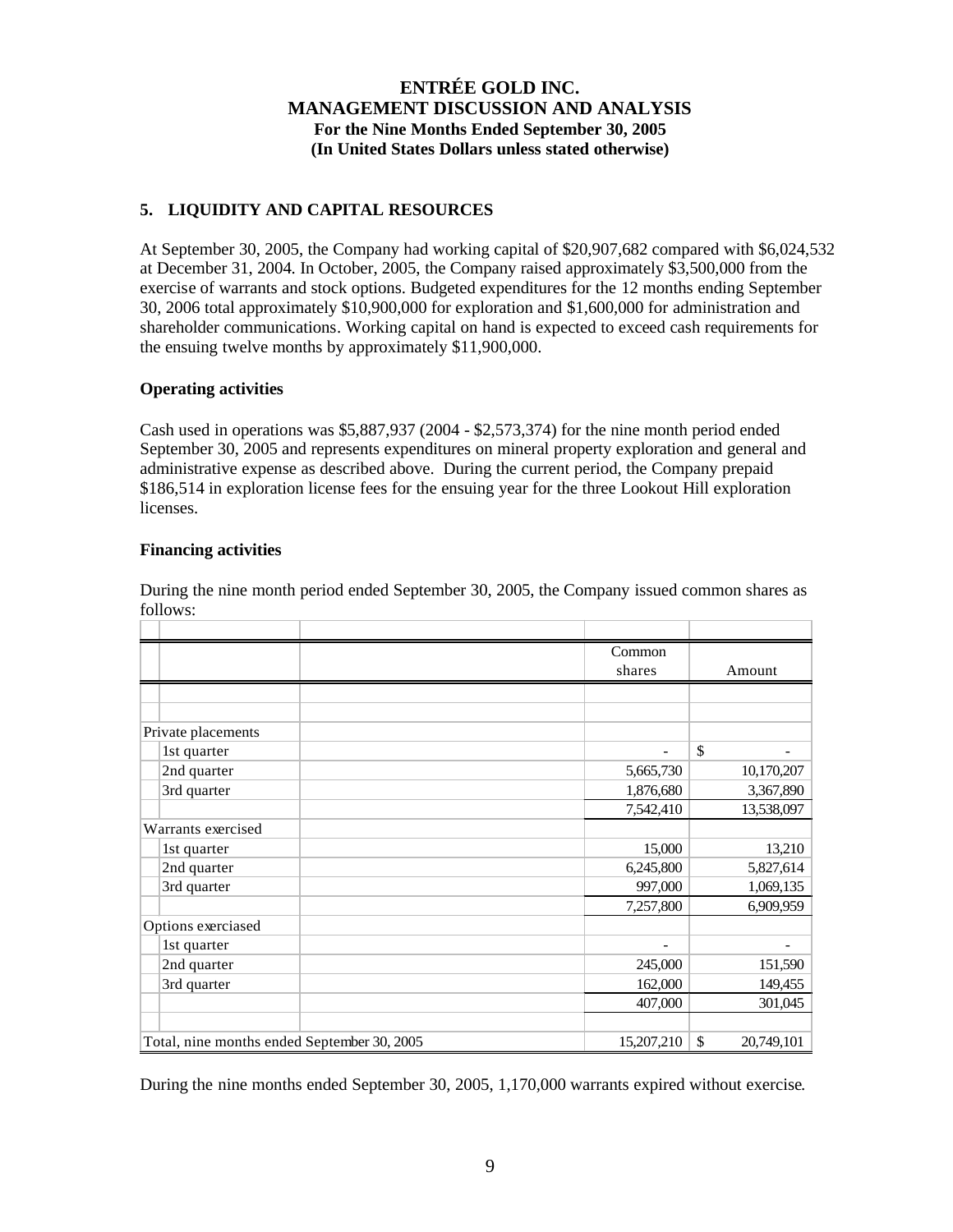## **5. LIQUIDITY AND CAPITAL RESOURCES**

At September 30, 2005, the Company had working capital of \$20,907,682 compared with \$6,024,532 at December 31, 2004. In October, 2005, the Company raised approximately \$3,500,000 from the exercise of warrants and stock options. Budgeted expenditures for the 12 months ending September 30, 2006 total approximately \$10,900,000 for exploration and \$1,600,000 for administration and shareholder communications. Working capital on hand is expected to exceed cash requirements for the ensuing twelve months by approximately \$11,900,000.

### **Operating activities**

Cash used in operations was  $$5,887,937$  (2004 -  $$2,573,374$ ) for the nine month period ended September 30, 2005 and represents expenditures on mineral property exploration and general and administrative expense as described above. During the current period, the Company prepaid \$186,514 in exploration license fees for the ensuing year for the three Lookout Hill exploration licenses.

#### **Financing activities**

|                                             |                    |            | Common                       |            |
|---------------------------------------------|--------------------|------------|------------------------------|------------|
|                                             |                    |            | shares                       | Amount     |
|                                             |                    |            |                              |            |
|                                             |                    |            |                              |            |
|                                             | Private placements |            |                              |            |
|                                             | 1st quarter        |            | $\qquad \qquad \blacksquare$ | \$         |
|                                             | 2nd quarter        |            | 5,665,730                    | 10,170,207 |
|                                             | 3rd quarter        |            | 1,876,680                    | 3,367,890  |
|                                             |                    |            | 7,542,410                    | 13,538,097 |
|                                             | Warrants exercised |            |                              |            |
|                                             | 1st quarter        |            | 15,000                       | 13,210     |
|                                             | 2nd quarter        |            | 6,245,800                    | 5,827,614  |
|                                             | 3rd quarter        |            | 997,000                      | 1,069,135  |
|                                             |                    |            | 7,257,800                    | 6,909,959  |
|                                             | Options exerciased |            |                              |            |
|                                             | 1st quarter        |            | $\overline{\phantom{0}}$     |            |
|                                             | 2nd quarter        |            | 245,000                      | 151,590    |
|                                             | 3rd quarter        |            | 162,000                      | 149,455    |
|                                             |                    |            | 407,000                      | 301,045    |
|                                             |                    |            |                              |            |
| Total, nine months ended September 30, 2005 |                    | 15,207,210 | \$<br>20,749,101             |            |

During the nine month period ended September 30, 2005, the Company issued common shares as follows:

During the nine months ended September 30, 2005, 1,170,000 warrants expired without exercise.